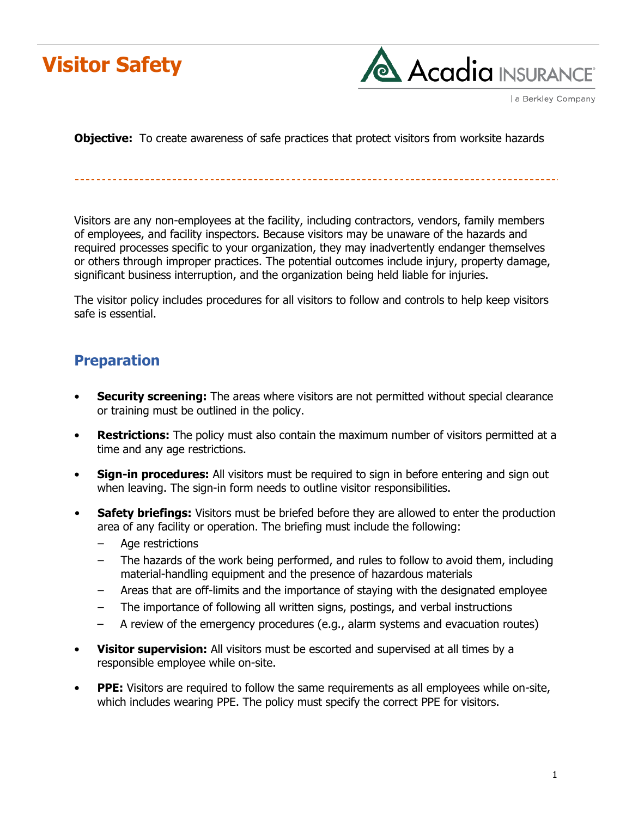



a Berkley Company

**Objective:** To create awareness of safe practices that protect visitors from worksite hazards

Visitors are any non-employees at the facility, including contractors, vendors, family members of employees, and facility inspectors. Because visitors may be unaware of the hazards and required processes specific to your organization, they may inadvertently endanger themselves or others through improper practices. The potential outcomes include injury, property damage, significant business interruption, and the organization being held liable for injuries.

The visitor policy includes procedures for all visitors to follow and controls to help keep visitors safe is essential.

### **Preparation**

- **Security screening:** The areas where visitors are not permitted without special clearance or training must be outlined in the policy.
- **Restrictions:** The policy must also contain the maximum number of visitors permitted at a time and any age restrictions.
- **Sign-in procedures:** All visitors must be required to sign in before entering and sign out when leaving. The sign-in form needs to outline visitor responsibilities.
- **Safety briefings:** Visitors must be briefed before they are allowed to enter the production area of any facility or operation. The briefing must include the following:
	- ‒ Age restrictions
	- The hazards of the work being performed, and rules to follow to avoid them, including material-handling equipment and the presence of hazardous materials
	- ‒ Areas that are off-limits and the importance of staying with the designated employee
	- ‒ The importance of following all written signs, postings, and verbal instructions
	- ‒ A review of the emergency procedures (e.g., alarm systems and evacuation routes)
- **Visitor supervision:** All visitors must be escorted and supervised at all times by a responsible employee while on-site.
- **PPE:** Visitors are required to follow the same requirements as all employees while on-site, which includes wearing PPE. The policy must specify the correct PPE for visitors.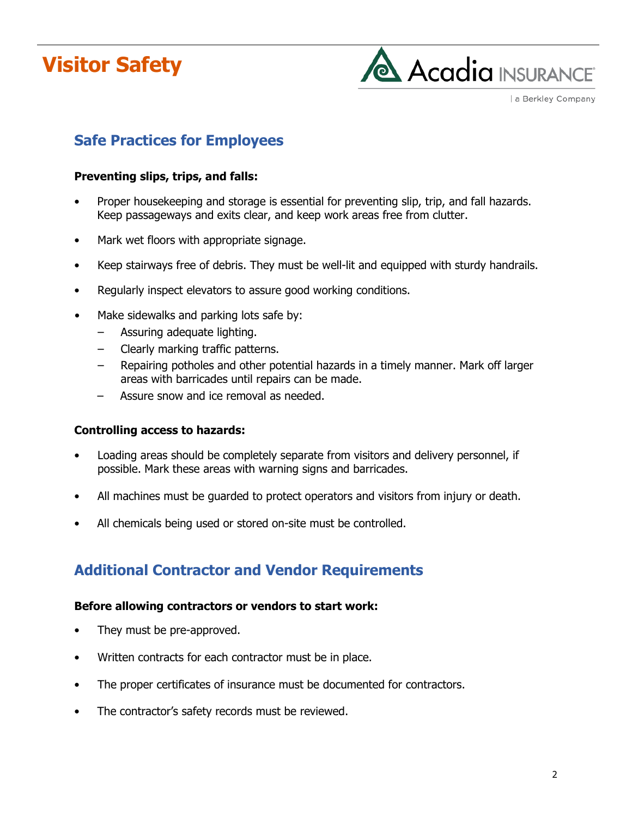# **Visitor Safety**



a Berkley Company

# **Safe Practices for Employees**

#### **Preventing slips, trips, and falls:**

- Proper housekeeping and storage is essential for preventing slip, trip, and fall hazards. Keep passageways and exits clear, and keep work areas free from clutter.
- Mark wet floors with appropriate signage.
- Keep stairways free of debris. They must be well-lit and equipped with sturdy handrails.
- Regularly inspect elevators to assure good working conditions.
- Make sidewalks and parking lots safe by:
	- ‒ Assuring adequate lighting.
	- ‒ Clearly marking traffic patterns.
	- ‒ Repairing potholes and other potential hazards in a timely manner. Mark off larger areas with barricades until repairs can be made.
	- ‒ Assure snow and ice removal as needed.

#### **Controlling access to hazards:**

- Loading areas should be completely separate from visitors and delivery personnel, if possible. Mark these areas with warning signs and barricades.
- All machines must be guarded to protect operators and visitors from injury or death.
- All chemicals being used or stored on-site must be controlled.

## **Additional Contractor and Vendor Requirements**

#### **Before allowing contractors or vendors to start work:**

- They must be pre-approved.
- Written contracts for each contractor must be in place.
- The proper certificates of insurance must be documented for contractors.
- The contractor's safety records must be reviewed.